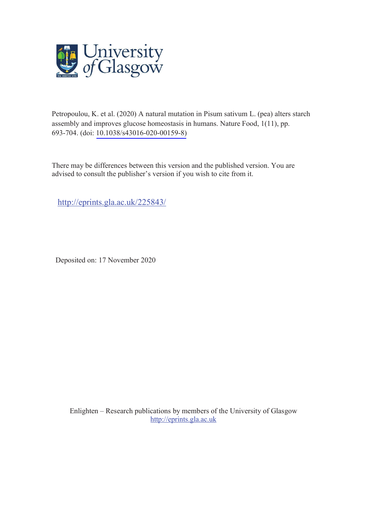

Petropoulou, K. et al. (2020) A natural mutation in Pisum sativum L. (pea) alters starch assembly and improves glucose homeostasis in humans. Nature Food, 1(11), pp. 693-704. (doi: [10.1038/s43016-020-00159-8\)](http://dx.doi.org/10.1038/s43016-020-00159-8)

There may be differences between this version and the published version. You are advised to consult the publisher's version if you wish to cite from it.

http://eprints.gla.ac.uk/225843/

Deposited on: 17 November 2020

Enlighten – Research publications by members of the University of Glasgow http://eprints.gla.ac.uk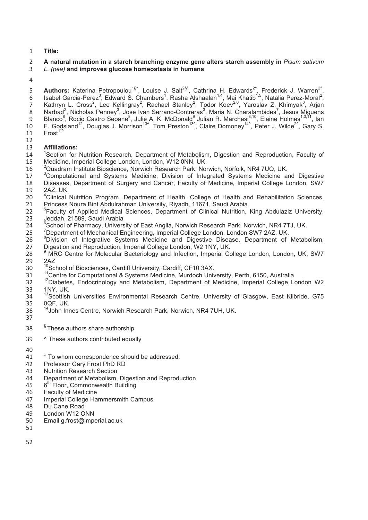**Title:** 

# **A natural mutation in a starch branching enzyme gene alters starch assembly in** *Pisum sativum L. (pea)* **and improves glucose homeostasis in humans**

5 **Authors:** Katerina Petropoulou<sup>1§^</sup>, Louise J. Salt<sup>2§^</sup>, Cathrina H. Edwards<sup>2^</sup>, Frederick J. Warren<sup>2</sup><sup>^</sup>, 6 Isabel Garcia-Perez<sup>3</sup>, Edward S. Chambers<sup>1</sup>, Rasha Alshaalan<sup>1,4</sup>, Mai Khatib<sup>1,5</sup>, Natalia Perez-Moral<sup>2</sup>, 7 Kathryn L. Cross<sup>2</sup>, Lee Kellingray<sup>2</sup>, Rachael Stanley<sup>2</sup>, Todor Koev<sup>2,6</sup>, Yaroslav Z. Khimyak<sup>6</sup>, Arjan 8 Narbad<sup>2</sup>, Nicholas Penney<sup>3</sup>, Jose Ivan Serrano-Contreras<sup>3</sup>, Maria N. Charalambides<sup>7</sup>, Jesus Miguens 9 Blanco<sup>8</sup>, Rocio Castro Seoane<sup>8</sup>, Julie A. K. McDonald<sup>9</sup> Julian R. Marchesi<sup>8,10</sup>, Elaine Holmes<sup>1,3,11</sup>, Ian 10 F. Godsland<sup>12</sup>, Douglas J. Morrison<sup>13^</sup>, Tom Preston<sup>13^</sup>, Claire Domoney<sup>14^</sup>, Peter J. Wilde<sup>2^</sup>, Gary S. 11  $Frost^{1*}$ 12

# **Affiliations:**

- 14 <sup>1</sup>Section for Nutrition Research, Department of Metabolism, Digestion and Reproduction, Faculty of Medicine, Imperial College London, London, W12 0NN, UK.
- ${}^{2}$ Quadram Institute Bioscience, Norwich Research Park, Norwich, Norfolk, NR4 7UQ, UK.
- $\frac{16}{17}$  $3$  Computational and Systems Medicine, Division of Integrated Systems Medicine and Digestive
- Diseases, Department of Surgery and Cancer, Faculty of Medicine, Imperial College London, SW7 2AZ, UK.
- 20 <sup>4</sup> Clinical Nutrition Program, Department of Health, College of Health and Rehabilitation Sciences,
- 21 Princess Noura Bint Abdulrahman University, Riyadh, 11671, Saudi Arabia<br>22 <sup>5</sup> Faculty of Applied Medical Sciences, Department of Clinical Nutrition, King Abdulaziz University, 23 Jeddah, 21589, Saudi Arabia
- <sup>6</sup> School of Pharmacy, University of East Anglia, Norwich Research Park, Norwich, NR4 7TJ, UK.<br>25 <sup>7</sup> Department of Mechanical Engineering, Imperial College London, London SW7 2AZ, UK.
- 
- <sup>7</sup> Department of Mechanical Engineering, Imperial College London, London SW7 2AZ, UK.<br>
<sup>8</sup> Division of Integrative Systems Medicine and Digestive Disease, Department of<br>
27 Digestion and Reproduction, Imperial College Lon Division of Integrative Systems Medicine and Digestive Disease, Department of Metabolism, Digestion and Reproduction, Imperial College London, W2 1NY, UK.<br>28 PMRC Centre for Molecular Bacteriology and Infection, Imperial Co
- <sup>9</sup> MRC Centre for Molecular Bacteriology and Infection, Imperial College London, London, UK, SW7<br>29 2AZ
- 29 2AZ<br>30 <sup>10</sup>School of Biosciences, Cardiff University, Cardiff, CF10 3AX.
- 
- <sup>11</sup>Centre for Computational & Systems Medicine, Murdoch University, Perth, 6150, Australia<br>
<sup>12</sup>Diabetes, Endocrinology and Metabolism, Department of Medicine, Imperial College London W2 33 1NY, UK.<br>34 <sup>13</sup>Scottish
- <sup>13</sup> Scottish Universities Environmental Research Centre, University of Glasgow, East Kilbride, G75<br>35 OQF. UK. 0QF, UK.
- 36 <sup>14</sup> John Innes Centre, Norwich Research Park, Norwich, NR4 7UH, UK.
- 37
- 38 <sup>§</sup> These authors share authorship
- 39 ^ These authors contributed equally
- 40
- \* To whom correspondence should be addressed:
- Professor Gary Frost PhD RD
- 43 Nutrition Research Section
- Department of Metabolism, Digestion and Reproduction
- $45$  6<sup>th</sup> Floor, Commonwealth Building
- 46<br>47 Faculty of Medicine
- Imperial College Hammersmith Campus
- Du Cane Road
- London W12 ONN
- Email g.frost@imperial.ac.uk
- 51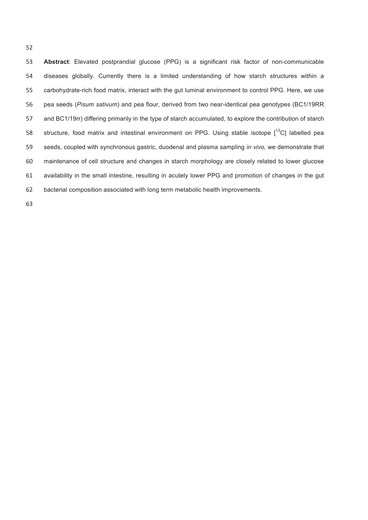**Abstract**: Elevated postprandial glucose (PPG) is a significant risk factor of non-communicable diseases globally. Currently there is a limited understanding of how starch structures within a 55 carbohydrate-rich food matrix, interact with the gut luminal environment to control PPG. Here, we use 56 pea seeds (*Pisum sativum*) and pea flour, derived from two near-identical pea genotypes (BC1/19RR and BC1/19rr) differing primarily in the type of starch accumulated, to explore the contribution of starch 58 structure, food matrix and intestinal environment on PPG. Using stable isotope  $1^{13}C$ ] labelled pea seeds, coupled with synchronous gastric, duodenal and plasma sampling *in vivo,* we demonstrate that 60 maintenance of cell structure and changes in starch morphology are closely related to lower glucose 61 availability in the small intestine, resulting in acutely lower PPG and promotion of changes in the gut 62 bacterial composition associated with long term metabolic health improvements.

63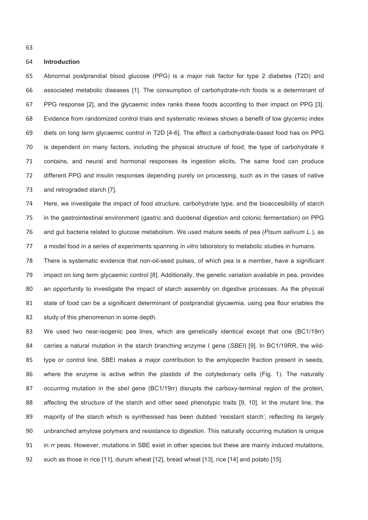64 **Introduction** 

65 Abnormal postprandial blood glucose (PPG) is a major risk factor for type 2 diabetes (T2D) and 66 associated metabolic diseases [1]. The consumption of carbohydrate-rich foods is a determinant of 67 PPG response [2], and the glycaemic index ranks these foods according to their impact on PPG [3]. 68  Evidence from randomized control trials and systematic reviews shows a benefit of low glycemic index 69 diets on long term glycaemic control in T2D [4-6]. The effect a carbohydrate-based food has on PPG is dependent on many factors, including the physical structure of food, the type of carbohydrate it contains, and neural and hormonal responses its ingestion elicits*.* The same food can produce different PPG and insulin responses depending purely on processing, such as in the cases of native 73 and retrograded starch [7].

 Here, we investigate the impact of food structure, carbohydrate type, and the bioaccesibility of starch in the gastrointestinal environment (gastric and duodenal digestion and colonic fermentation) on PPG 76 and gut bacteria related to glucose metabolism. We used mature seeds of pea (*Pisum sativum L*.), as a model food in a series of experiments spanning *in vitro* laboratory to metabolic studies in humans.

 There is systematic evidence that non-oil-seed pulses, of which pea is a member, have a significant impact on long term glycaemic control [8]. Additionally, the genetic variation available in pea, provides  an opportunity to investigate the impact of starch assembly on digestive processes. As the physical  state of food can be a significant determinant of postprandial glycaemia, using pea flour enables the 82 study of this phenomenon in some depth.

 We used two near-isogenic pea lines, which are genetically identical except that one (BC1/19rr)  carries a natural mutation in the starch branching enzyme I gene (*SBEI*) [9]. In BC1/19RR, the wild- 85 type or control line, SBEI makes a major contribution to the amylopectin fraction present in seeds, 86 where the enzyme is active within the plastids of the cotyledonary cells (Fig. 1). The naturally  occurring mutation in the *sbeI* gene (BC1/19rr) disrupts the carboxy-terminal region of the protein,  affecting the structure of the starch and other seed phenotypic traits [9, 10]. In the mutant line, the  majority of the starch which is synthesised has been dubbed 'resistant starch', reflecting its largely unbranched amylose polymers and resistance to digestion. This naturally occurring mutation is unique in *rr* peas. However, mutations in SBE exist in other species but these are mainly induced mutations, such as those in rice [11], durum wheat [12], bread wheat [13], rice [14] and potato [15].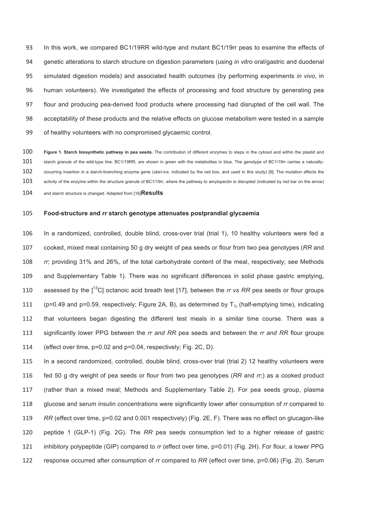93 In this work, we compared BC1/19RR wild-type and mutant BC1/19rr peas to examine the effects of genetic alterations to starch structure on digestion parameters (using *in vitro* oral/gastric and duodenal simulated digestion models) and associated health outcomes (by performing experiments *in vivo*, in 96 human volunteers). We investigated the effects of processing and food structure by generating pea flour and producing pea-derived food products where processing had disrupted of the cell wall. The  acceptability of these products and the relative effects on glucose metabolism were tested in a sample of healthy volunteers with no compromised glycaemic control.

 **Figure 1. Starch biosynthetic pathway in pea seeds.** The contribution of different enzymes to steps in the cytosol and within the plastid and 101 starch granule of the wild-type line, BC1/19RR, are shown in green with the metabolites in blue. The genotype of BC1/19rr carries a naturally-

occurring insertion in a starch-branching enzyme gene (*sbeI-ins*, indicated by the red box, and used in this study) [9]. The mutation affects the

103 activity of the enzyme within the structure granule of BC1/19rr, where the pathway to amylopectin is disrupted (indicated by red bar on the arrow)

and starch structure is changed. Adapted from [16]**Results** 

### **Food-structure and** *rr* **starch genotype attenuates postprandial glycaemia**

106 In a randomized, controlled, double blind, cross-over trial (trial 1), 10 healthy volunteers were fed a cooked, mixed meal containing 50 g dry weight of pea seeds or flour from two pea genotypes (*RR* and *rr*; providing 31% and 26%, of the total carbohydrate content of the meal, respectively; see Methods and Supplementary Table 1). There was no significant differences in solid phase gastric emptying, 110 assessed by the  $\int_0^{13}$ C] octanoic acid breath test [17], between the *rr* vs RR pea seeds or flour groups 111 (p=0.49 and p=0.59, respectively; Figure 2A, B), as determined by  $T_{\frac{1}{2}}$  (half-emptying time), indicating 112 that volunteers began digesting the different test meals in a similar time course. There was a significantly lower PPG between the *rr and RR* pea seeds and between the *rr and RR* flour groups (effect over time, p=0.02 and p=0.04, respectively; Fig. 2C, D).

 In a second randomized, controlled, double blind, cross-over trial (trial 2) 12 healthy volunteers were 116 fed 50 g dry weight of pea seeds or flour from two pea genotypes (*RR* and *rr*;) as a cooked product (rather than a mixed meal; Methods and Supplementary Table 2). For pea seeds group, plasma  glucose and serum insulin concentrations were significantly lower after consumption of *rr* compared to 119 RR (effect over time, p=0.02 and 0.001 respectively) (Fig. 2E, F). There was no effect on glucagon-like peptide 1 (GLP-1) (Fig. 2G). The *RR* pea seeds consumption led to a higher release of gastric inhibitory polypeptide (GIP) compared to *rr* (effect over time, p=0.01) (Fig. 2H). For flour, a lower PPG response occurred after consumption of *rr* compared to *RR* (effect over time, p=0.06) (Fig. 2I). Serum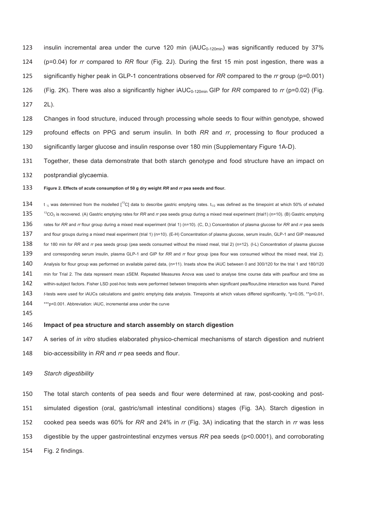- 123 insulin incremental area under the curve 120 min ( $iAUC_{0-120min}$ ) was significantly reduced by 37% (p=0.04) for *rr* compared to *RR* flour (Fig. 2J). During the first 15 min post ingestion, there was a significantly higher peak in GLP-1 concentrations observed for *RR* compared to the *rr* group (p=0.001) 126 (Fig. 2K). There was also a significantly higher  $iAUC_{0.120min}$  GIP for *RR* compared to *rr* (p=0.02) (Fig. 127 2L).
- Changes in food structure, induced through processing whole seeds to flour within genotype, showed profound effects on PPG and serum insulin. In both *RR* and *rr*, processing to flour produced a significantly larger glucose and insulin response over 180 min (Supplementary Figure 1A-D).
- Together, these data demonstrate that both starch genotype and food structure have an impact on
- 132 postprandial glycaemia.
- **Figure 2. Effects of acute consumption of 50 g dry weight** *RR* **and** *rr* **pea seeds and flour.**
- 134 t<sub>%</sub> was determined from the modelled [<sup>13</sup>C] data to describe gastric emptying rates. t<sub>1/2</sub> was defined as the timepoint at which 50% of exhaled 135 <sup>13</sup>CO<sub>2</sub> is recovered. (A) Gastric emptying rates for *RR* and *rr* pea seeds group during a mixed meal experiment (trial1) (n=10). (B) Gastric emptying 136 rates for *RR* and *rr* flour group during a mixed meal experiment (trial 1) (n=10). (C, D,) Concentration of plasma glucose for *RR* and *rr* pea seeds 137 and flour groups during a mixed meal experiment (trial 1) (n=10). (E-H) Concentration of plasma glucose, serum insulin, GLP-1 and GIP measured  for 180 min for *RR* and *rr* pea seeds group (pea seeds consumed without the mixed meal, trial 2) (n=12). (I-L) Concentration of plasma glucose and corresponding serum insulin, plasma GLP-1 and GIP for *RR* and *rr* flour group (pea flour was consumed without the mixed meal, trial 2). Analysis for flour group was performed on available paired data, (n=11). Insets show the iAUC between 0 and 300/120 for the trial 1 and 180/120 141 min for Trial 2. The data represent mean ±SEM. Repeated Measures Anova was used to analyse time course data with pea/flour and time as 142 within-subject factors. Fisher LSD post-hoc tests were performed between timepoints when significant pea/flour, time interaction was found. Paired *<sup>t</sup>*-tests were used for iAUCs calculations and gastric emptying data analysis. Timepoints at which values differed significantly, \*p<0.05, \*\*p<0.01, 144 \*\*\* p<0.001. Abbreviation: iAUC, incremental area under the curve
- 145

#### 146 **Impact of pea structure and starch assembly on starch digestion**

A series of *in vitro* studies elaborated physico-chemical mechanisms of starch digestion and nutrient

- bio-accessibility in *RR* and *rr* pea seeds and flour.
- *Starch digestibility*

 The total starch contents of pea seeds and flour were determined at raw, post-cooking and post- simulated digestion (oral, gastric/small intestinal conditions) stages (Fig. 3A). Starch digestion in cooked pea seeds was 60% for *RR* and 24% in *rr* (Fig. 3A) indicating that the starch in *rr* was less digestible by the upper gastrointestinal enzymes versus *RR* pea seeds (p<0.0001), and corroborating 154 Fig. 2 findings.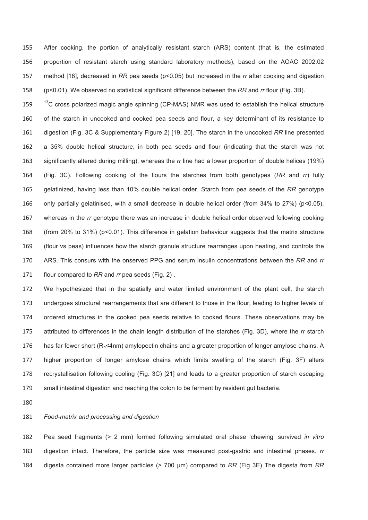After cooking, the portion of analytically resistant starch (ARS) content (that is, the estimated 156 proportion of resistant starch using standard laboratory methods), based on the AOAC 2002.02 method [18], decreased in *RR* pea seeds (p<0.05) but increased in the *rr* after cooking and digestion  (p<0.01). We observed no statistical significant difference between the *RR* and *rr* flour (Fig. 3B).

159  $<sup>13</sup>C$  cross polarized magic angle spinning (CP-MAS) NMR was used to establish the helical structure</sup> 160 of the starch in uncooked and cooked pea seeds and flour, a key determinant of its resistance to 161 digestion (Fig. 3C & Supplementary Figure 2) [19, 20]. The starch in the uncooked *RR* line presented 162 a 35% double helical structure, in both pea seeds and flour (indicating that the starch was not 163 significantly altered during milling), whereas the *rr* line had a lower proportion of double helices (19%) 164 (Fig. 3C). Following cooking of the flours the starches from both genotypes (*RR* and *rr*) fully 165 gelatinized, having less than 10% double helical order. Starch from pea seeds of the *RR* genotype 166 only partially gelatinised, with a small decrease in double helical order (from 34% to 27%) (p<0.05), 167 whereas in the *rr* genotype there was an increase in double helical order observed following cooking 168  (from 20% to 31%) (p<0.01). This difference in gelation behaviour suggests that the matrix structure 169 (flour vs peas) influences how the starch granule structure rearranges upon heating, and controls the ARS. This consurs with the onserved PPG and serum insulin concentrations between the *RR* and *rr* flour compared to *RR* and *rr* pea seeds (Fig. 2) .

172 We hypothesized that in the spatially and water limited environment of the plant cell, the starch 173 undergoes structural rearrangements that are different to those in the flour, leading to higher levels of 174 ordered structures in the cooked pea seeds relative to cooked flours. These observations may be attributed to differences in the chain length distribution of the starches (Fig. 3D), where the *rr* starch 176 has far fewer short ( $R_h$ <4nm) amylopectin chains and a greater proportion of longer amylose chains. A 177 higher proportion of longer amylose chains which limits swelling of the starch (Fig. 3F) alters  recrystallisation following cooling (Fig. 3C) [21] and leads to a greater proportion of starch escaping small intestinal digestion and reaching the colon to be ferment by resident gut bacteria.

180

# *Food-matrix and processing and digestion*

 Pea seed fragments (> 2 mm) formed following simulated oral phase 'chewing' survived *in vitro*  digestion intact. Therefore, the particle size was measured post-gastric and intestinal phases. *rr*   digesta contained more larger particles (> 700 μm) compared to *RR* (Fig 3E) The digesta from *RR*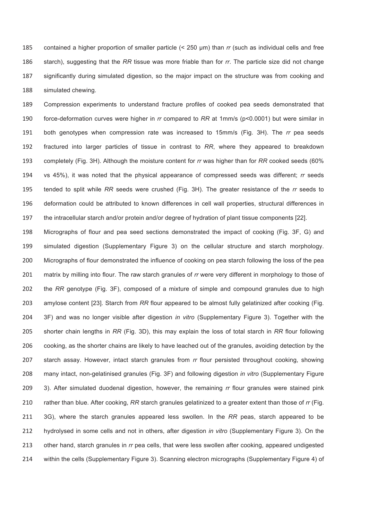contained a higher proportion of smaller particle (< 250 μm) than *rr* (such as individual cells and free 186 starch), suggesting that the *RR* tissue was more friable than for *rr*. The particle size did not change  significantly during simulated digestion, so the major impact on the structure was from cooking and 188 simulated chewing.

 Compression experiments to understand fracture profiles of cooked pea seeds demonstrated that force-deformation curves were higher in *rr* compared to *RR* at 1mm/s (p<0.0001) but were similar in both genotypes when compression rate was increased to 15mm/s (Fig. 3H). The *rr* pea seeds fractured into larger particles of tissue in contrast to *RR*, where they appeared to breakdown completely (Fig. 3H). Although the moisture content for *rr* was higher than for *RR* cooked seeds (60% vs 45%), it was noted that the physical appearance of compressed seeds was different; *rr* seeds tended to split while *RR* seeds were crushed (Fig. 3H). The greater resistance of the *rr* seeds to 196 deformation could be attributed to known differences in cell wall properties, structural differences in the intracellular starch and/or protein and/or degree of hydration of plant tissue components [22].

198 Micrographs of flour and pea seed sections demonstrated the impact of cooking (Fig. 3F, G) and simulated digestion (Supplementary Figure 3) on the cellular structure and starch morphology. Micrographs of flour demonstrated the influence of cooking on pea starch following the loss of the pea matrix by milling into flour. The raw starch granules of *rr* were very different in morphology to those of the *RR* genotype (Fig. 3F), composed of a mixture of simple and compound granules due to high amylose content [23]. Starch from *RR* flour appeared to be almost fully gelatinized after cooking (Fig. 3F) and was no longer visible after digestion *in vitro* (Supplementary Figure 3). Together with the shorter chain lengths in *RR* (Fig. 3D), this may explain the loss of total starch in *RR* flour following 206 cooking, as the shorter chains are likely to have leached out of the granules, avoiding detection by the starch assay. However, intact starch granules from *rr* flour persisted throughout cooking, showing  many intact, non-gelatinised granules (Fig. 3F) and following digestion *in vitro* (Supplementary Figure 3). After simulated duodenal digestion, however, the remaining *rr* flour granules were stained pink rather than blue. After cooking, *RR* starch granules gelatinized to a greater extent than those of *rr* (Fig. 3G), where the starch granules appeared less swollen. In the *RR* peas, starch appeared to be hydrolysed in some cells and not in others, after digestion *in vitro* (Supplementary Figure 3). On the 213 other hand, starch granules in *rr* pea cells, that were less swollen after cooking, appeared undigested 214 within the cells (Supplementary Figure 3). Scanning electron micrographs (Supplementary Figure 4) of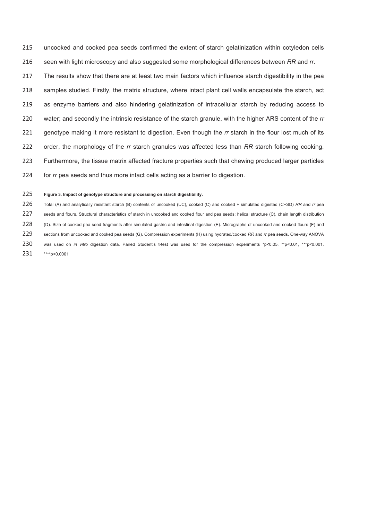uncooked and cooked pea seeds confirmed the extent of starch gelatinization within cotyledon cells 216 seen with light microscopy and also suggested some morphological differences between *RR* and *rr.*

 The results show that there are at least two main factors which influence starch digestibility in the pea  samples studied. Firstly, the matrix structure, where intact plant cell walls encapsulate the starch, act as enzyme barriers and also hindering gelatinization of intracellular starch by reducing access to water; and secondly the intrinsic resistance of the starch granule, with the higher ARS content of the *rr*  genotype making it more resistant to digestion. Even though the *rr* starch in the flour lost much of its 222 order, the morphology of the *rr* starch granules was affected less than *RR* starch following cooking. Furthermore, the tissue matrix affected fracture properties such that chewing produced larger particles for *rr* pea seeds and thus more intact cells acting as a barrier to digestion.

#### **Figure 3. Impact of genotype structure and processing on starch digestibility.**

226 Total (A) and analytically resistant starch (B) contents of uncooked (UC), cooked (C) and cooked + simulated digested (C+SD) *RR* and *rr* pea 227 seeds and flours. Structural characteristics of starch in uncooked and cooked flour and pea seeds; helical structure (C), chain length distribution  (D). Size of cooked pea seed fragments after simulated gastric and intestinal digestion (E). Micrographs of uncooked and cooked flours (F) and sections from uncooked and cooked pea seeds (G). Compression experiments (H) using hydrated/cooked *RR* and *rr* pea seeds. One-way ANOVA 230 was used on *in vitro* digestion data. Paired Student's t-test was used for the compression experiments \*p<0.05, \*\*p<0.01, \*\*\*p<0.001. 231 \*\*\*\*p<0.0001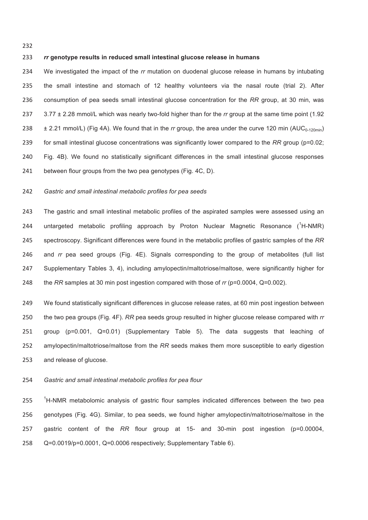232

# *rr* **genotype results in reduced small intestinal glucose release in humans**

 We investigated the impact of the *rr* mutation on duodenal glucose release in humans by intubating 235 the small intestine and stomach of 12 healthy volunteers via the nasal route (trial 2). After 236 consumption of pea seeds small intestinal glucose concentration for the *RR* group, at 30 min, was 3.77 ± 2.28 mmol/L which was nearly two-fold higher than for the *rr* group at the same time point (1.92  $\pm$  2.21 mmol/L) (Fig 4A). We found that in the rr group, the area under the curve 120 min (AUC<sub>0-120min</sub>) for small intestinal glucose concentrations was significantly lower compared to the *RR* group (p=0.02; Fig. 4B). We found no statistically significant differences in the small intestinal glucose responses 241 between flour groups from the two pea genotypes (Fig. 4C, D).

# *Gastric and small intestinal metabolic profiles for pea seeds*

243 The gastric and small intestinal metabolic profiles of the aspirated samples were assessed using an 244 untargeted metabolic profiling approach by Proton Nuclear Magnetic Resonance (<sup>1</sup>H-NMR) spectroscopy. Significant differences were found in the metabolic profiles of gastric samples of the *RR* 246 and *rr* pea seed groups (Fig. 4E). Signals corresponding to the group of metabolites (full list Supplementary Tables 3, 4), including amylopectin/maltotriose/maltose, were significantly higher for  the *RR* samples at 30 min post ingestion compared with those of *rr* (p=0.0004, Q=0.002).

249 We found statistically significant differences in glucose release rates, at 60 min post ingestion between the two pea groups (Fig. 4F). *RR* pea seeds group resulted in higher glucose release compared with *rr*  group (p=0.001, Q=0.01) (Supplementary Table 5). The data suggests that leaching of amylopectin/maltotriose/maltose from the *RR* seeds makes them more susceptible to early digestion 253 and release of glucose.

### *Gastric and small intestinal metabolic profiles for pea flour*

255  $\frac{1}{1}$ H-NMR metabolomic analysis of gastric flour samples indicated differences between the two pea 256 genotypes (Fig. 4G). Similar, to pea seeds, we found higher amylopectin/maltotriose/maltose in the gastric content of the *RR* flour group at 15- and 30-min post ingestion (p=0.00004,  Q=0.0019/p=0.0001, Q=0.0006 respectively; Supplementary Table 6).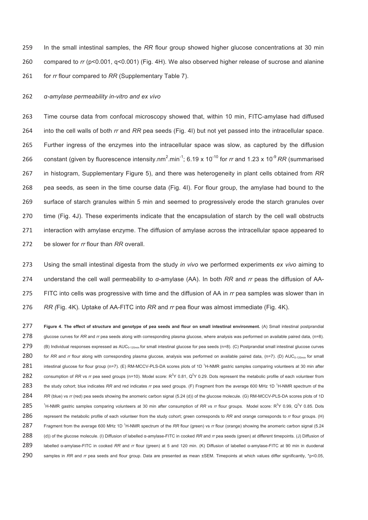In the small intestinal samples, the *RR* flour group showed higher glucose concentrations at 30 min 260 compared to rr (p<0.001, q<0.001) (Fig. 4H). We also observed higher release of sucrose and alanine 261 for *rr* flour compared to *RR* (Supplementary Table 7).

262 *α-amylase permeability in-vitro and ex vivo* 

263 Time course data from confocal microscopy showed that, within 10 min, FITC-amylase had diffused 264 into the cell walls of both *rr* and *RR* pea seeds (Fig. 4I) but not yet passed into the intracellular space. 265 Further ingress of the enzymes into the intracellular space was slow, as captured by the diffusion 266 constant (given by fluorescence intensity.nm<sup>2</sup>.min<sup>-1</sup>; 6.19 x 10<sup>-10</sup> for rr and 1.23 x 10<sup>-9</sup> RR (summarised 266 267 in histogram, Supplementary Figure 5), and there was heterogeneity in plant cells obtained from *RR*  268  pea seeds*,* as seen in the time course data (Fig. 4I). For flour group, the amylase had bound to the 269 surface of starch granules within 5 min and seemed to progressively erode the starch granules over 270 time (Fig. 4J). These experiments indicate that the encapsulation of starch by the cell wall obstructs 271 interaction with amylase enzyme. The diffusion of amylase across the intracellular space appeared to be slower for *rr* flour than *RR* overall.

 Using the small intestinal digesta from the study *in vivo* we performed experiments *ex vivo* aiming to understand the cell wall permeability to *α*-amylase (AA). In both *RR* and *rr* peas the diffusion of AA- FITC into cells was progressive with time and the diffusion of AA in *rr* pea samples was slower than in 276 *RR (*Fig. 4K)*.* Uptake of AA-FITC into *RR* and *rr* pea flour was almost immediate (Fig. 4K).

 **Figure 4. The effect of structure and genotype of pea seeds and flour on small intestinal environment.** (A) Small intestinal postprandial 278 alucose curves for *RR* and *rr* pea seeds along with corresponding plasma glucose, where analysis was performed on available paired data, (n=8).  $279$  (B) Individual responses expressed as AUC<sub>0-120min</sub> for small intestinal glucose for pea seeds (n=8). (C) Postprandial small intestinal glucose curves 180 for *RR* and *rr* flour along with corresponding plasma glucose, analysis was performed on available paired data, (n=7). (D) AUC<sub>0-120min</sub> for small 281 intestinal glucose for flour group (n=7). (E) RM-MCCV-PLS-DA scores plots of 1D <sup>1</sup>H-NMR gastric samples comparing volunteers at 30 min after 282 consumption of RR vs *rr* pea seed groups (n=10). Model score: R<sup>2</sup>Y 0.81, Q<sup>2</sup>Y 0.29. Dots represent the metabolic profile of each volunteer from 283 the study cohort; blue indicates RR and red indicates *rr* pea seed groups. (F) Fragment from the average 600 MHz 1D <sup>1</sup>H-NMR spectrum of the 284 RR (blue) vs *rr* (red) pea seeds showing the anomeric carbon signal (5.24 (d)) of the glucose molecule. (G) RM-MCCV-PLS-DA scores plots of 1D 285 <sup>1</sup>H-NMR gastric samples comparing volunteers at 30 min after consumption of RR vs rr flour groups. Model score: R<sup>2</sup>Y 0.99, Q<sup>2</sup>Y 0.85. Dots 286 represent the metabolic profile of each volunteer from the study cohort; green corresponds to *RR* and orange corresponds to *rr* flour groups. (H) 287 Fragment from the average 600 MHz 1D <sup>1</sup>H-NMR spectrum of the RR flour (green) vs rr flour (orange) showing the anomeric carbon signal (5.24  (d)) of the glucose molecule. (I) Diffusion of labelled α-amylase-FITC in cooked *RR* and *rr* pea seeds (green) at different timepoints. (J) Diffusion of  labelled α-amylase-FITC in cooked *RR* and *rr* flour (green) at 5 and 120 min. (K) Diffusion of labelled α-amylase-FITC at 90 min in duodenal samples in *RR* and *rr* pea seeds and flour group. Data are presented as mean ±SEM. Timepoints at which values differ significantly, \*p<0.05,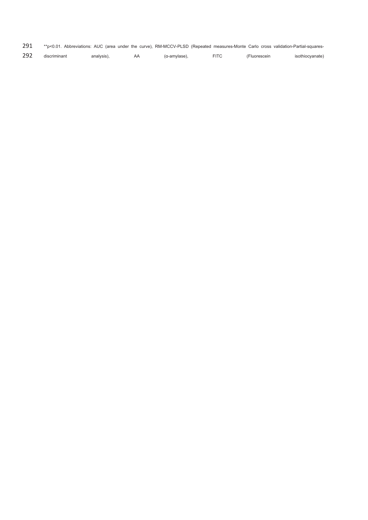| 291 | **p<0.01. Abbreviations: AUC (area under the curve), RM-MCCV-PLSD (Repeated measures-Monte Carlo cross validation-Partial-squares- |  |  |  |  |  |
|-----|------------------------------------------------------------------------------------------------------------------------------------|--|--|--|--|--|
|     |                                                                                                                                    |  |  |  |  |  |

| 292 | discriminant | analysis) | AA | (α-amvlase). | <b>FITC</b> | Fluorescein | isothiocyanate) |
|-----|--------------|-----------|----|--------------|-------------|-------------|-----------------|
|-----|--------------|-----------|----|--------------|-------------|-------------|-----------------|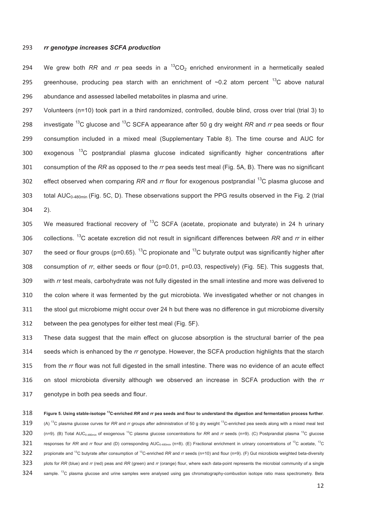#### 293 rr genotype increases SCFA production

294 We grew both RR and rr pea seeds in a  ${}^{13}CO_2$  enriched environment in a hermetically sealed 295 greenhouse, producing pea starch with an enrichment of  $\sim$ 0.2 atom percent <sup>13</sup>C above natural 296 abundance and assessed labelled metabolites in plasma and urine.

 Volunteers (n=10) took part in a third randomized, controlled, double blind, cross over trial (trial 3) to 298 investigate <sup>13</sup>C glucose and <sup>13</sup>C SCFA appearance after 50 g dry weight *RR* and *rr* pea seeds or flour consumption included in a mixed meal (Supplementary Table 8). The time course and AUC for 300 exogenous  $^{13}$ C postprandial plasma glucose indicated significantly higher concentrations after consumption of the *RR* as opposed to the *rr* pea seeds test meal (Fig. 5A, B). There was no significant effect observed when comparing *RR* and *rr* flour for exogenous postprandial <sup>13</sup> C plasma glucose and 303 total  $AUC_{0.480min}$  (Fig. 5C, D). These observations support the PPG results observed in the Fig. 2 (trial  $304$  2).

305 We measured fractional recovery of  $^{13}$ C SCFA (acetate, propionate and butyrate) in 24 h urinary 306 collections. <sup>13</sup>C acetate excretion did not result in significant differences between RR and rr in either 307 the seed or flour groups (p=0.65). <sup>13</sup>C propionate and <sup>13</sup>C butyrate output was significantly higher after  consumption of *rr*, either seeds or flour (p=0.01, p=0.03, respectively) (Fig. 5E). This suggests that, 309 with *rr* test meals, carbohydrate was not fully digested in the small intestine and more was delivered to 310 the colon where it was fermented by the gut microbiota. We investigated whether or not changes in 311 the stool gut microbiome might occur over 24 h but there was no difference in gut microbiome diversity between the pea genotypes for either test meal (Fig. 5F).

 These data suggest that the main effect on glucose absorption is the structural barrier of the pea seeds which is enhanced by the *rr* genotype. However, the SCFA production highlights that the starch from the *rr* flour was not full digested in the small intestine. There was no evidence of an acute effect 316 on stool microbiota diversity although we observed an increase in SCFA production with the *rr* 317 genotype in both pea seeds and flour.

**Figure 5. Using stable-isotope** *<sup>13</sup>* **C-enriched** *RR* **and** *rr* **pea seeds and flour to understand the digestion and fermentation process further**. 319 (A) <sup>13</sup>C plasma glucose curves for *RR* and *rr* groups after administration of 50 g dry weight <sup>13</sup>C-enriched pea seeds along with a mixed meal test (n=9). (B) Total AUC0-480min of exogenous 13C plasma glucose concentrations for *RR* and *rr* seeds (n=9). (C) Postprandial plasma <sup>13</sup> C glucose 321 responses for *RR* and *rr* flour and (D) corresponding AUC<sub>0-480min</sub> (n=8). (E) Fractional enrichment in urinary concentrations of <sup>13</sup>C acetate, <sup>13</sup>C propionate and 13C butyrate after consumption of 13 C-enriched *RR* and *rr* seeds (n=10) and flour (n=9). (F) Gut microbiota weighted beta-diversity plots for *RR* (blue) and *rr* (red) peas and *RR* (green) and *rr* (orange) flour, where each data-point represents the microbial community of a single 324 sample. <sup>13</sup>C plasma glucose and urine samples were analysed using gas chromatography-combustion isotope ratio mass spectrometry. Beta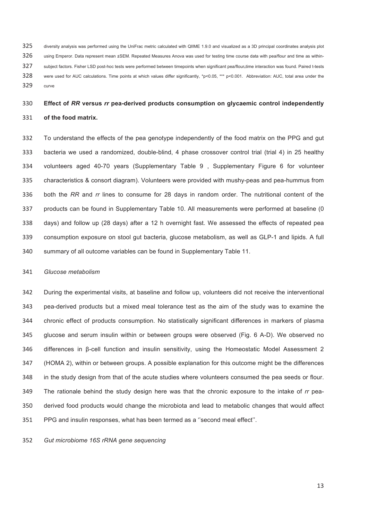diversity analysis was performed using the UniFrac metric calculated with QIIME 1.9.0 and visualized as a 3D principal coordinates analysis plot 326 using Emperor. Data represent mean ±SEM. Repeated Measures Anova was used for testing time course data with pea/flour and time as within-327 subject factors. Fisher LSD post-hoc tests were performed between timepoints when significant pea/flour, time interaction was found. Paired t-tests 328 were used for AUC calculations. Time points at which values differ significantly, \*p<0.05, \*\*\* p<0.001. Abbreviation: AUC, total area under the 329 curve

# **Effect of** *RR* **versus** *rr* **pea-derived products consumption on glycaemic control independently of the food matrix.**

 To understand the effects of the pea genotype independently of the food matrix on the PPG and gut bacteria we used a randomized, double-blind, 4 phase crossover control trial (trial 4) in 25 healthy volunteers aged 40-70 years (Supplementary Table 9 , Supplementary Figure 6 for volunteer characteristics & consort diagram). Volunteers were provided with mushy-peas and pea-hummus from 336 both the *RR* and *rr* lines to consume for 28 days in random order. The nutritional content of the products can be found in Supplementary Table 10. All measurements were performed at baseline (0  days) and follow up (28 days) after a 12 h overnight fast. We assessed the effects of repeated pea consumption exposure on stool gut bacteria, glucose metabolism, as well as GLP-1 and lipids. A full summary of all outcome variables can be found in Supplementary Table 11.

#### *Glucose metabolism*

 During the experimental visits, at baseline and follow up, volunteers did not receive the interventional pea-derived products but a mixed meal tolerance test as the aim of the study was to examine the chronic effect of products consumption. No statistically significant differences in markers of plasma glucose and serum insulin within or between groups were observed (Fig. 6 A-D). We observed no 346 differences in β-cell function and insulin sensitivity, using the Homeostatic Model Assessment 2 (HOMA 2), within or between groups. A possible explanation for this outcome might be the differences  in the study design from that of the acute studies where volunteers consumed the pea seeds or flour. The rationale behind the study design here was that the chronic exposure to the intake of *rr* pea- derived food products would change the microbiota and lead to metabolic changes that would affect PPG and insulin responses, what has been termed as a ''second meal effect''.

### *Gut microbiome 16S rRNA gene sequencing*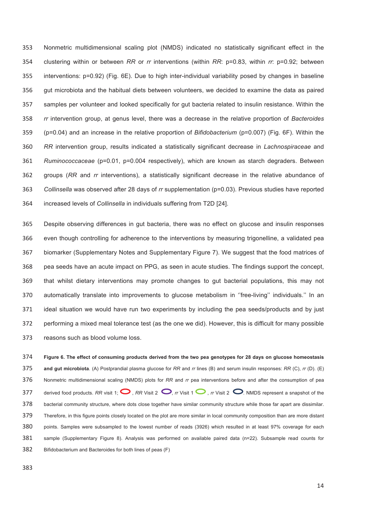Nonmetric multidimensional scaling plot (NMDS) indicated no statistically significant effect in the clustering within or between *RR* or *rr* interventions (within *RR*: p=0.83, within *rr*: p=0.92; between interventions: p=0.92) (Fig. 6E). Due to high inter-individual variability posed by changes in baseline 356 gut microbiota and the habitual diets between volunteers, we decided to examine the data as paired samples per volunteer and looked specifically for gut bacteria related to insulin resistance. Within the *rr* intervention group, at genus level, there was a decrease in the relative proportion of *Bacteroides*  (p=0.04) and an increase in the relative proportion of *Bifidobacterium* (p=0.007) (Fig. 6F). Within the 360 *RR* intervention group, results indicated a statistically significant decrease in *Lachnospiraceae* and 361 *Ruminococcaceae* (p=0.01, p=0.004 respectively), which are known as starch degraders. Between 362 groups (*RR* and *rr* interventions), a statistically significant decrease in the relative abundance of 363 *Collinsella* was observed after 28 days of *rr* supplementation (p=0.03). Previous studies have reported 364 increased levels of *Collinsella* in individuals suffering from T2D [24].

365 Despite observing differences in gut bacteria, there was no effect on glucose and insulin responses 366 even though controlling for adherence to the interventions by measuring trigonelline, a validated pea 367 biomarker (Supplementary Notes and Supplementary Figure 7). We suggest that the food matrices of 368  pea seeds have an acute impact on PPG, as seen in acute studies. The findings support the concept, 369 that whilst dietary interventions may promote changes to gut bacterial populations, this may not 370 automatically translate into improvements to glucose metabolism in "free-living" individuals." In an ideal situation we would have run two experiments by including the pea seeds/products and by just performing a mixed meal tolerance test (as the one we did). However, this is difficult for many possible 373 reasons such as blood volume loss.

 **Figure 6. The effect of consuming products derived from the two pea genotypes for 28 days on glucose homeostasis and gut microbiota**. (A) Postprandial plasma glucose for *RR* and *rr* lines (B) and serum insulin responses: *RR* (C), *rr* (D). (E) 376 Nonmetric multidimensional scaling (NMDS) plots for *RR* and *rr* pea interventions before and after the consumption of pea 377 derived food products. RR visit 1;  $\bigcirc$ , RR Visit 2 , *rr* Visit 1 , *rr* Visit 2  $\bigcirc$ . NMDS represent a snapshot of the  bacterial community structure, where dots close together have similar community structure while those far apart are dissimilar. Therefore, in this figure points closely located on the plot are more similar in local community composition than are more distant 380 points. Samples were subsampled to the lowest number of reads (3926) which resulted in at least 97% coverage for each  sample (Supplementary Figure 8). Analysis was performed on available paired data (n=22). Subsample read counts for  Bifidobacterium and Bacteroides for both lines of peas (F)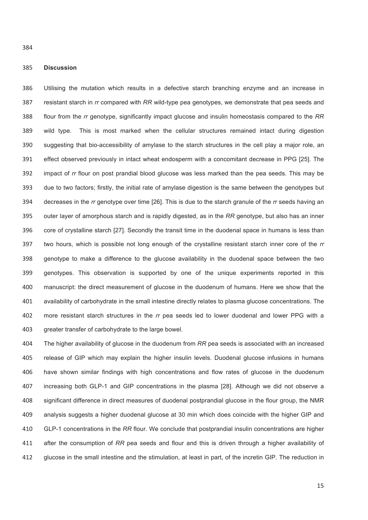384

# **Discussion**

386 Utilising the mutation which results in a defective starch branching enzyme and an increase in  resistant starch in *rr* compared with *RR* wild-type pea genotypes, we demonstrate that pea seeds and  flour from the *rr* genotype, significantly impact glucose and insulin homeostasis compared to the *RR*  wild type. This is most marked when the cellular structures remained intact during digestion suggesting that bio-accessibility of amylase to the starch structures in the cell play a major role, an effect observed previously in intact wheat endosperm with a concomitant decrease in PPG [25]. The impact of *rr* flour on post prandial blood glucose was less marked than the pea seeds. This may be due to two factors; firstly, the initial rate of amylase digestion is the same between the genotypes but decreases in the *rr* genotype over time [26]. This is due to the starch granule of the *rr* seeds having an outer layer of amorphous starch and is rapidly digested, as in the *RR* genotype, but also has an inner 396 core of crystalline starch [27]. Secondly the transit time in the duodenal space in humans is less than two hours, which is possible not long enough of the crystalline resistant starch inner core of the *rr*  genotype to make a difference to the glucose availability in the duodenal space between the two genotypes. This observation is supported by one of the unique experiments reported in this manuscript: the direct measurement of glucose in the duodenum of humans. Here we show that the availability of carbohydrate in the small intestine directly relates to plasma glucose concentrations. The more resistant starch structures in the *rr* pea seeds led to lower duodenal and lower PPG with a 403 greater transfer of carbohydrate to the large bowel.

 The higher availability of glucose in the duodenum from *RR* pea seeds is associated with an increased release of GIP which may explain the higher insulin levels. Duodenal glucose infusions in humans 406 have shown similar findings with high concentrations and flow rates of glucose in the duodenum increasing both GLP-1 and GIP concentrations in the plasma [28]. Although we did not observe a  significant difference in direct measures of duodenal postprandial glucose in the flour group, the NMR analysis suggests a higher duodenal glucose at 30 min which does coincide with the higher GIP and GLP-1 concentrations in the *RR* flour. We conclude that postprandial insulin concentrations are higher after the consumption of *RR* pea seeds and flour and this is driven through a higher availability of glucose in the small intestine and the stimulation, at least in part, of the incretin GIP. The reduction in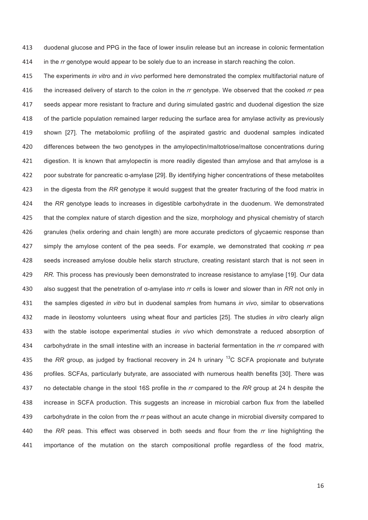duodenal glucose and PPG in the face of lower insulin release but an increase in colonic fermentation in the *rr* genotype would appear to be solely due to an increase in starch reaching the colon.

 The experiments *in vitro* and *in vivo* performed here demonstrated the complex multifactorial nature of 416 the increased delivery of starch to the colon in the *rr* genotype. We observed that the cooked *rr* pea seeds appear more resistant to fracture and during simulated gastric and duodenal digestion the size  of the particle population remained larger reducing the surface area for amylase activity as previously shown [27]. The metabolomic profiling of the aspirated gastric and duodenal samples indicated differences between the two genotypes in the amylopectin/maltotriose/maltose concentrations during 421 digestion. It is known that amylopectin is more readily digested than amylose and that amylose is a poor substrate for pancreatic α-amylase [29]. By identifying higher concentrations of these metabolites in the digesta from the *RR* genotype it would suggest that the greater fracturing of the food matrix in the *RR* genotype leads to increases in digestible carbohydrate in the duodenum. We demonstrated that the complex nature of starch digestion and the size, morphology and physical chemistry of starch 426 granules (helix ordering and chain length) are more accurate predictors of glycaemic response than simply the amylose content of the pea seeds. For example, we demonstrated that cooking *rr* pea  seeds increased amylose double helix starch structure, creating resistant starch that is not seen in *RR.* This process has previously been demonstrated to increase resistance to amylase [19]. Our data also suggest that the penetration of α-amylase into *rr* cells is lower and slower than in *RR* not only in the samples digested *in vitro* but in duodenal samples from humans *in vivo*, similar to observations made in ileostomy volunteers using wheat flour and particles [25]. The studies *in vitro* clearly align with the stable isotope experimental studies *in vivo* which demonstrate a reduced absorption of carbohydrate in the small intestine with an increase in bacterial fermentation in the *rr* compared with 435 the *RR* group, as judged by fractional recovery in 24 h urinary <sup>13</sup>C SCFA propionate and butyrate 436 profiles. SCFAs, particularly butyrate, are associated with numerous health benefits [30]. There was no detectable change in the stool 16S profile in the *rr* compared to the *RR* group at 24 h despite the  increase in SCFA production. This suggests an increase in microbial carbon flux from the labelled carbohydrate in the colon from the *rr* peas without an acute change in microbial diversity compared to the *RR* peas. This effect was observed in both seeds and flour from the *rr* line highlighting the importance of the mutation on the starch compositional profile regardless of the food matrix,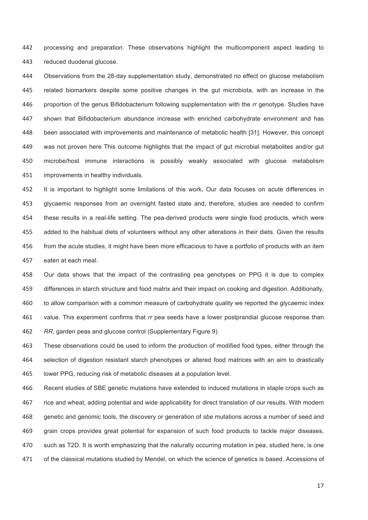442 processing and preparation. These observations highlight the multicomponent aspect leading to 443 reduced duodenal glucose.

 Observations from the 28-day supplementation study, demonstrated no effect on glucose metabolism related biomarkers despite some positive changes in the gut microbiota, with an increase in the 446 proportion of the genus Bifidobacterium following supplementation with the *rr* genotype. Studies have shown that Bifidobacterium abundance increase with enriched carbohydrate environment and has  been associated with improvements and maintenance of metabolic health [31]. However, this concept 449 was not proven here This outcome highlights that the impact of gut microbial metabolites and/or gut microbe/host immune interactions is possibly weakly associated with glucose metabolism 451 improvements in healthy individuals.

 It is important to highlight some limitations of this work*.* Our data focuses on acute differences in glycaemic responses from an overnight fasted state and, therefore, studies are needed to confirm these results in a real-life setting. The pea-derived products were single food products, which were added to the habitual diets of volunteers without any other alterations in their diets. Given the results 456 from the acute studies, it might have been more efficacious to have a portfolio of products with an item 457 eaten at each meal.

  Our data shows that the impact of the contrasting pea genotypes on PPG it is due to complex differences in starch structure and food matrix and their impact on cooking and digestion. Additionally, 460 to allow comparison with a common measure of carbohydrate quality we reported the glycaemic index 461 value. This experiment confirms that *rr* pea seeds have a lower postprandial glucose response than 462 *RR*, garden peas and glucose control (Supplementary Figure 9).

463 These observations could be used to inform the production of modified food types, either through the 464 selection of digestion resistant starch phenotypes or altered food matrices with an aim to drastically 465 lower PPG, reducing risk of metabolic diseases at a population level.

466 Recent studies of SBE genetic mutations have extended to induced mutations in staple crops such as 467 rice and wheat, adding potential and wide applicability for direct translation of our results. With modern 468  genetic and genomic tools, the discovery or generation of *sbe* mutations across a number of seed and 469 grain crops provides great potential for expansion of such food products to tackle major diseases, 470 such as T2D. It is worth emphasizing that the naturally occurring mutation in pea, studied here, is one 471 of the classical mutations studied by Mendel, on which the science of genetics is based. Accessions of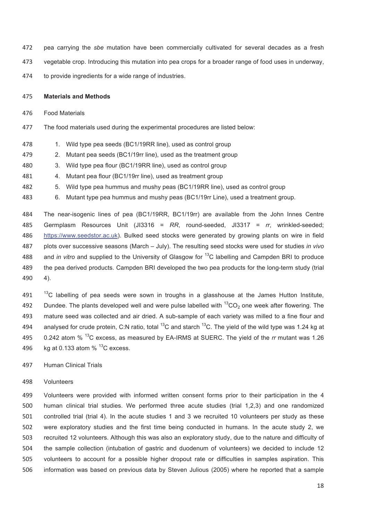- pea carrying the *sbe* mutation have been commercially cultivated for several decades as a fresh
- vegetable crop. Introducing this mutation into pea crops for a broader range of food uses in underway,
- 474 to provide ingredients for a wide range of industries.

#### **Materials and Methods**

- 476 Food Materials
- The food materials used during the experimental procedures are listed below:
- 1. Wild type pea seeds (BC1/19RR line), used as control group
- 2. Mutant pea seeds (BC1/19rr line), used as the treatment group
- 3. Wild type pea flour (BC1/19RR line), used as control group
- 4. Mutant pea flour (BC1/19rr line), used as treatment group
- 5. Wild type pea hummus and mushy peas (BC1/19RR line), used as control group
- 6. Mutant type pea hummus and mushy peas (BC1/19rr Line), used a treatment group.

 The near-isogenic lines of pea (BC1/19RR, BC1/19rr) are available from the John Innes Centre  Germplasm Resources Unit (JI3316 = *RR*, round-seeded, JI3317 = *rr*, wrinkled-seeded; 486 https://www.seedstor.ac.uk). Bulked seed stocks were generated by growing plants on wire in field  plots over successive seasons (March – July). The resulting seed stocks were used for studies *in vivo*  488 and *in vitro* and supplied to the University of Glasgow for <sup>13</sup>C labelling and Campden BRI to produce  the pea derived products. Campden BRI developed the two pea products for the long-term study (trial 490 4).

491 <sup>13</sup>C labelling of pea seeds were sown in troughs in a glasshouse at the James Hutton Institute, 492 Dundee. The plants developed well and were pulse labelled with  ${}^{13}CO_2$  one week after flowering. The mature seed was collected and air dried. A sub-sample of each variety was milled to a fine flour and 494 analysed for crude protein, C:N ratio, total  $^{13}$ C and starch  $^{13}$ C. The yield of the wild type was 1.24 kg at 495 0.242 atom % <sup>13</sup>C excess, as measured by EA-IRMS at SUERC. The yield of the *rr* mutant was 1.26 496 kg at 0.133 atom  $% ^{13}$ C excess.

- 497 Human Clinical Trials
- 498 Volunteers

499 Volunteers were provided with informed written consent forms prior to their participation in the 4 500 human clinical trial studies. We performed three acute studies (trial 1,2,3) and one randomized controlled trial (trial 4). In the acute studies 1 and 3 we recruited 10 volunteers per study as these 502 were exploratory studies and the first time being conducted in humans. In the acute study 2, we recruited 12 volunteers. Although this was also an exploratory study, due to the nature and difficulty of the sample collection (intubation of gastric and duodenum of volunteers) we decided to include 12 505 volunteers to account for a possible higher dropout rate or difficulties in samples aspiration. This 506 information was based on previous data by Steven Julious (2005) where he reported that a sample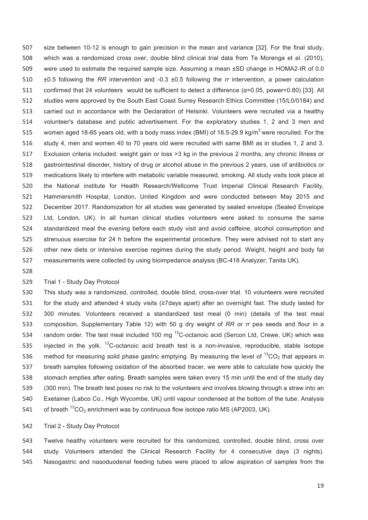size between 10-12 is enough to gain precision in the mean and variance [32]. For the final study,  which was a randomized cross over, double blind clinical trial data from Te Morenga et al. (2010), 509 were used to estimate the required sample size. Assuming a mean ±SD change in HOMA2-IR of 0.0 ±0.5 following the *RR* intervention and -0.3 ±0.5 following the *rr* intervention, a power calculation 511 confirmed that 24 volunteers would be sufficient to detect a difference ( $α=0.05$ , power=0.80) [33]. All studies were approved by the South East Coast Surrey Research Ethics Committee (15/L0/0184) and carried out in accordance with the Declaration of Helsinki. Volunteers were recruited via a healthy 514 volunteer's database and public advertisement. For the exploratory studies 1, 2 and 3 men and 515 women aged 18-65 years old, with a body mass index (BMI) of 18.5-29.9 kg/m<sup>2</sup> were recruited. For the 516 study 4, men and women 40 to 70 years old were recruited with same BMI as in studies 1, 2 and 3. Exclusion criteria included: weight gain or loss >3 kg in the previous 2 months, any chronic illness or  gastrointestinal disorder, history of drug or alcohol abuse in the previous 2 years, use of antibiotics or medications likely to interfere with metabolic variable measured, smoking. All study visits took place at 520 the National institute for Health Research/Wellcome Trust Imperial Clinical Research Facility, 521 Hammersmith Hospital, London, United Kingdom and were conducted between May 2015 and 522 December 2017. Randomization for all studies was generated by sealed envelope (Sealed Envelope 523 Ltd, London, UK). In all human clinical studies volunteers were asked to consume the same standardized meal the evening before each study visit and avoid caffeine, alcohol consumption and 525 strenuous exercise for 24 h before the experimental procedure. They were advised not to start any 526 other new diets or intensive exercise regimes during the study period. Weight, height and body fat measurements were collected by using bioimpedance analysis (BC-418 Analyzer; Tanita UK).

528

# 529 Trial 1 - Study Day Protocol

 This study was a randomized, controlled, double blind, cross-over trial. 10 volunteers were recruited for the study and attended 4 study visits (≥7days apart) after an overnight fast. The study lasted for 300 minutes. Volunteers received a standardized test meal (0 min) (details of the test meal composition, Supplementary Table 12) with 50 g dry weight of *RR* or *rr* pea seeds and flour in a 534 random order. The test meal included 100 mg  $^{13}$ C-octanoic acid (Sercon Ltd, Crewe, UK) which was 535 injected in the yolk.  $^{13}$ C-octanoic acid breath test is a non-invasive, reproducible, stable isotope 536 method for measuring solid phase gastric emptying. By measuring the level of  ${}^{13}CO_2$  that appears in breath samples following oxidation of the absorbed tracer, we were able to calculate how quickly the  stomach empties after eating. Breath samples were taken every 15 min until the end of the study day 539 (300 min). The breath test poses no risk to the volunteers and involves blowing through a straw into an Exetainer (Labco Co., High Wycombe, UK) until vapour condensed at the bottom of the tube. Analysis 541 of breath  ${}^{13}CO_2$  enrichment was by continuous flow isotope ratio MS (AP2003, UK).

# 542 Trial 2 - Study Day Protocol

 Twelve healthy volunteers were recruited for this randomized, controlled, double blind, cross over study. Volunteers attended the Clinical Research Facility for 4 consecutive days (3 nights). 545 Nasogastric and nasoduodenal feeding tubes were placed to allow aspiration of samples from the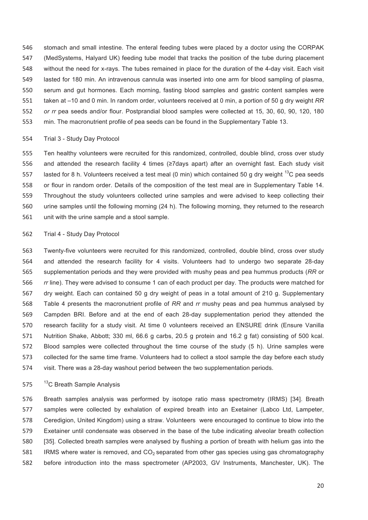546 stomach and small intestine. The enteral feeding tubes were placed by a doctor using the CORPAK (MedSystems, Halyard UK) feeding tube model that tracks the position of the tube during placement 548 without the need for x-rays. The tubes remained in place for the duration of the 4-day visit. Each visit lasted for 180 min. An intravenous cannula was inserted into one arm for blood sampling of plasma, serum and gut hormones. Each morning, fasting blood samples and gastric content samples were taken at –10 and 0 min. In random order, volunteers received at 0 min, a portion of 50 g dry weight *RR or rr* pea seeds and/or flour. Postprandial blood samples were collected at 15, 30, 60, 90, 120, 180 min. The macronutrient profile of pea seeds can be found in the Supplementary Table 13.

#### 554 Trial 3 - Study Day Protocol

 Ten healthy volunteers were recruited for this randomized, controlled, double blind, cross over study 556 and attended the research facility 4 times (≥7days apart) after an overnight fast. Each study visit 557 lasted for 8 h. Volunteers received a test meal (0 min) which contained 50 g dry weight  $^{13}$ C pea seeds 558 or flour in random order. Details of the composition of the test meal are in Supplementary Table 14. Throughout the study volunteers collected urine samples and were advised to keep collecting their 560 urine samples until the following morning (24 h). The following morning, they returned to the research 561 unit with the urine sample and a stool sample.

#### 562 Trial 4 - Study Day Protocol

563 Twenty-five volunteers were recruited for this randomized, controlled, double blind, cross over study 564 and attended the research facility for 4 visits. Volunteers had to undergo two separate 28-day 565 supplementation periods and they were provided with mushy peas and pea hummus products (*RR* or 566 *rr* line). They were advised to consume 1 can of each product per day. The products were matched for 567 dry weight. Each can contained 50 g dry weight of peas in a total amount of 210 g. Supplementary 568  Table 4 presents the macronutrient profile of *RR* and *rr* mushy peas and pea hummus analysed by 569 Campden BRI. Before and at the end of each 28-day supplementation period they attended the 570 research facility for a study visit. At time 0 volunteers received an ENSURE drink (Ensure Vanilla 571 Nutrition Shake, Abbott; 330 ml, 66.6 g carbs, 20.5 g protein and 16.2 g fat) consisting of 500 kcal. 572 Blood samples were collected throughout the time course of the study (5 h). Urine samples were 573 collected for the same time frame. Volunteers had to collect a stool sample the day before each study 574 visit. There was a 28-day washout period between the two supplementation periods.

# 575  $<sup>13</sup>C$  Breath Sample Analysis</sup>

576 Breath samples analysis was performed by isotope ratio mass spectrometry (IRMS) [34]. Breath 577 samples were collected by exhalation of expired breath into an Exetainer (Labco Ltd, Lampeter,  Ceredigion, United Kingdom) using a straw. Volunteers were encouraged to continue to blow into the Exetainer until condensate was observed in the base of the tube indicating alveolar breath collection  [35]. Collected breath samples were analysed by flushing a portion of breath with helium gas into the  $1831$  IRMS where water is removed, and CO<sub>2</sub> separated from other gas species using gas chromatography  before introduction into the mass spectrometer (AP2003, GV Instruments, Manchester, UK). The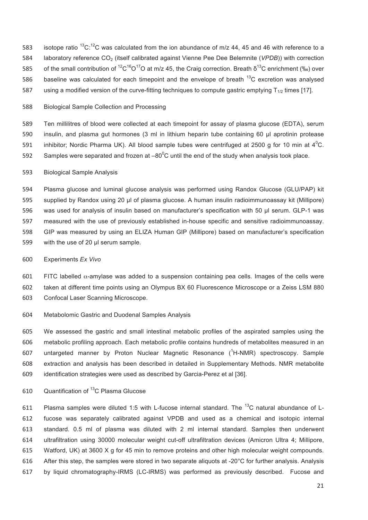- 583 isotope ratio  $^{13}$ C:<sup>12</sup>C was calculated from the ion abundance of m/z 44, 45 and 46 with reference to a 584 Iaboratory reference CO<sub>2</sub> (itself calibrated against Vienne Pee Dee Belemnite (*VPDB*)) with correction 585 of the small contribution of  ${}^{12}C^{16}O^{17}O$  at m/z 45, the Craig correction. Breath  $\delta^{13}C$  enrichment (‰) over 586 baseline was calculated for each timepoint and the envelope of breath  $^{13}$ C excretion was analysed 587 using a modified version of the curve-fitting techniques to compute gastric emptying  $T_{1/2}$  times [17].
- 588 Biological Sample Collection and Processing

589 Ten millilitres of blood were collected at each timepoint for assay of plasma glucose (EDTA), serum insulin, and plasma gut hormones (3 ml in lithium heparin tube containing 60 μl aprotinin protease 591 inhibitor; Nordic Pharma UK). All blood sample tubes were centrifuged at 2500 g for 10 min at  $4^{\circ}$ C. 592 Samples were separated and frozen at  $-80^{\circ}$ C until the end of the study when analysis took place.

593 Biological Sample Analysis

 Plasma glucose and luminal glucose analysis was performed using Randox Glucose (GLU/PAP) kit 
 supplied by Randox using 20 μl of plasma glucose. A human insulin radioimmunoassay kit (Millipore) 596 was used for analysis of insulin based on manufacturer's specification with 50 μl serum. GLP-1 was measured with the use of previously established in-house specific and sensitive radioimmunoassay. 
 GIP was measured by using an ELIZA Human GIP (Millipore) based on manufacturer's specification 599 with the use of 20 ul serum sample.

600 Experiments *Ex Vivo*

601 FITC labelled  $\alpha$ -amylase was added to a suspension containing pea cells. Images of the cells were 602 taken at different time points using an Olympus BX 60 Fluorescence Microscope or a Zeiss LSM 880 603 Confocal Laser Scanning Microscope.

604 Metabolomic Gastric and Duodenal Samples Analysis

605 We assessed the gastric and small intestinal metabolic profiles of the aspirated samples using the 606 metabolic profiling approach. Each metabolic profile contains hundreds of metabolites measured in an 607 untargeted manner by Proton Nuclear Magnetic Resonance (<sup>1</sup>H-NMR) spectroscopy. Sample 608  extraction and analysis has been described in detailed in Supplementary Methods. NMR metabolite 609 identification strategies were used as described by Garcia-Perez et al [36].

610 Quantification of  $13$ C Plasma Glucose

611 Plasma samples were diluted 1:5 with L-fucose internal standard. The  $^{13}$ C natural abundance of L-612 fucose was separately calibrated against VPDB and used as a chemical and isotopic internal 613 standard. 0.5 ml of plasma was diluted with 2 ml internal standard. Samples then underwent 614 ultrafiltration using 30000 molecular weight cut-off ultrafiltration devices (Amicron Ultra 4; Millipore, 615 Watford, UK) at 3600 X g for 45 min to remove proteins and other high molecular weight compounds. 616 After this step, the samples were stored in two separate aliquots at -20°C for further analysis. Analysis 617 by liquid chromatography-IRMS (LC-IRMS) was performed as previously described. Fucose and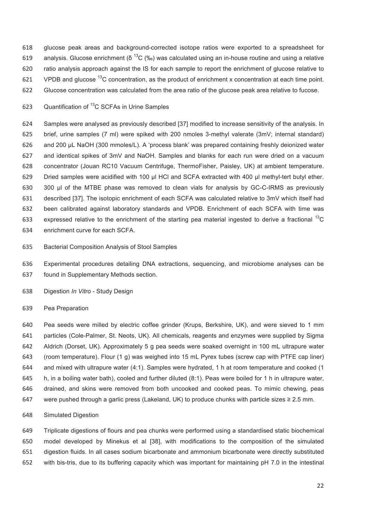618  glucose peak areas and background-corrected isotope ratios were exported to a spreadsheet for 619 analysis. Glucose enrichment ( $\delta^{13}C$  (‰) was calculated using an in-house routine and using a relative 620 ratio analysis approach against the IS for each sample to report the enrichment of glucose relative to 621 VPDB and glucose  $^{13}$ C concentration, as the product of enrichment x concentration at each time point.

622 Glucose concentration was calculated from the area ratio of the glucose peak area relative to fucose.

623 Quantification of <sup>13</sup>C SCFAs in Urine Samples

624 Samples were analysed as previously described [37] modified to increase sensitivity of the analysis. In 625 brief, urine samples (7 ml) were spiked with 200 nmoles 3-methyl valerate (3mV; internal standard) 626 and 200 μL NaOH (300 mmoles/L). A 'process blank' was prepared containing freshly deionized water 627 and identical spikes of 3mV and NaOH. Samples and blanks for each run were dried on a vacuum 628  concentrator (Jouan RC10 Vacuum Centrifuge, ThermoFisher, Paisley, UK) at ambient temperature. 629 Dried samples were acidified with 100 μl HCl and SCFA extracted with 400 μl methyl-tert butyl ether. 630 300 μl of the MTBE phase was removed to clean vials for analysis by GC-C-IRMS as previously 631 described [37]. The isotopic enrichment of each SCFA was calculated relative to 3mV which itself had 632 been calibrated against laboratory standards and VPDB. Enrichment of each SCFA with time was 633 expressed relative to the enrichment of the starting pea material ingested to derive a fractional  $^{13}$ C 634 enrichment curve for each SCFA.

635 Bacterial Composition Analysis of Stool Samples

636 Experimental procedures detailing DNA extractions, sequencing, and microbiome analyses can be 637 found in Supplementary Methods section.

- 638  Digestion *In Vitro* - Study Design
- 639 Pea Preparation

640 Pea seeds were milled by electric coffee grinder (Krups, Berkshire, UK), and were sieved to 1 mm 641 particles (Cole-Palmer, St. Neots, UK). All chemicals, reagents and enzymes were supplied by Sigma 642 Aldrich (Dorset, UK). Approximately 5 g pea seeds were soaked overnight in 100 mL ultrapure water 643 (room temperature). Flour (1 g) was weighed into 15 mL Pyrex tubes (screw cap with PTFE cap liner) 644 and mixed with ultrapure water (4:1). Samples were hydrated, 1 h at room temperature and cooked (1 645 h, in a boiling water bath), cooled and further diluted (8:1). Peas were boiled for 1 h in ultrapure water, 646 drained, and skins were removed from both uncooked and cooked peas. To mimic chewing, peas 647 were pushed through a garlic press (Lakeland, UK) to produce chunks with particle sizes ≥ 2.5 mm.

648  Simulated Digestion

649 Triplicate digestions of flours and pea chunks were performed using a standardised static biochemical 650 model developed by Minekus et al [38], with modifications to the composition of the simulated 651 digestion fluids. In all cases sodium bicarbonate and ammonium bicarbonate were directly substituted 652 with bis-tris, due to its buffering capacity which was important for maintaining pH 7.0 in the intestinal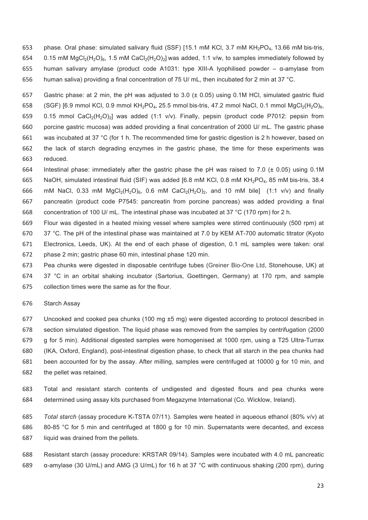- 653 phase. Oral phase: simulated salivary fluid (SSF) [15.1 mM KCl, 3.7 mM KH<sub>2</sub>PO<sub>4</sub>, 13.66 mM bis-tris, 654 0.15 mM MgCl<sub>2</sub>(H<sub>2</sub>O)<sub>6</sub>, 1.5 mM CaCl<sub>2</sub>(H<sub>2</sub>O)<sub>2</sub>] was added, 1:1 v/w, to samples immediately followed by 655 human salivary amylase (product code A1031: type XIII-A lyophilised powder – α-amylase from 656 human saliva) providing a final concentration of 75 U/ mL, then incubated for 2 min at 37 °C.
- 657 Gastric phase: at 2 min, the pH was adjusted to  $3.0 \ (\pm 0.05)$  using 0.1M HCl, simulated gastric fluid 658 (SGF) [6.9 mmol KCl, 0.9 mmol KH<sub>2</sub>PO<sub>4</sub>, 25.5 mmol bis-tris, 47.2 mmol NaCl, 0.1 mmol MgCl<sub>2</sub>(H<sub>2</sub>O)<sub>6</sub>,
- 659 0.15 mmol  $CaCl<sub>2</sub>(H<sub>2</sub>O)<sub>2</sub>$ ] was added (1:1 v/v). Finally, pepsin (product code P7012: pepsin from
- 66 porcine gastric mucosa) was added providing a final concentration of 2000 U/ mL. The gastric phase
- 66 was incubated at 37 °C (for 1 h. The recommended time for gastric digestion is 2 h however, based on 66 the lack of starch degrading enzymes in the gastric phase, the time for these experiments was 66 reduced.
- 66 Intestinal phase: immediately after the gastric phase the pH was raised to 7.0 ( $\pm$  0.05) using 0.1M 66 NaOH, simulated intestinal fluid (SIF) was added [6.8 mM KCl, 0.8 mM KH<sub>2</sub>PO<sub>4</sub>, 85 mM bis-tris, 38.4 666 mM NaCl, 0.33 mM  $MgCl<sub>2</sub>(H<sub>2</sub>O)<sub>6</sub>$ , 0.6 mM CaCl<sub>2</sub>(H<sub>2</sub>O)<sub>2</sub>, and 10 mM bile] (1:1 v/v) and finally 66 pancreatin (product code P7545: pancreatin from porcine pancreas) was added providing a final 66  concentration of 100 U/ mL. The intestinal phase was incubated at 37 °C (170 rpm) for 2 h.
- 66 Flour was digested in a heated mixing vessel where samples were stirred continuously (500 rpm) at 670 37 °C. The pH of the intestinal phase was maintained at 7.0 by KEM AT-700 automatic titrator (Kyoto 671 Electronics, Leeds, UK). At the end of each phase of digestion, 0.1 mL samples were taken: oral 672 phase 2 min; gastric phase 60 min, intestinal phase 120 min.
- 673 Pea chunks were digested in disposable centrifuge tubes (Greiner Bio-One Ltd, Stonehouse, UK) at 674 37 °C in an orbital shaking incubator (Sartorius, Goettingen, Germany) at 170 rpm, and sample 675 collection times were the same as for the flour.

#### 676 Starch Assay

- 677 Uncooked and cooked pea chunks (100 mg ±5 mg) were digested according to protocol described in 678  section simulated digestion. The liquid phase was removed from the samples by centrifugation (2000 679 g for 5 min). Additional digested samples were homogenised at 1000 rpm, using a T25 Ultra-Turrax 680  (IKA, Oxford, England), post-intestinal digestion phase, to check that all starch in the pea chunks had 681  been accounted for by the assay. After milling, samples were centrifuged at 10000 g for 10 min, and 682  the pellet was retained.
- 683  Total and resistant starch contents of undigested and digested flours and pea chunks were 684  determined using assay kits purchased from Megazyme International (Co. Wicklow, Ireland).
- 685 *Total starch* (assay procedure K-TSTA 07/11). Samples were heated in aqueous ethanol (80% v/v) at 686 80-85 °C for 5 min and centrifuged at 1800 g for 10 min. Supernatants were decanted, and excess 687  liquid was drained from the pellets.
- 688  Resistant starch (assay procedure: KRSTAR 09/14). Samples were incubated with 4.0 mL pancreatic 689  α-amylase (30 U/mL) and AMG (3 U/mL) for 16 h at 37 °C with continuous shaking (200 rpm), during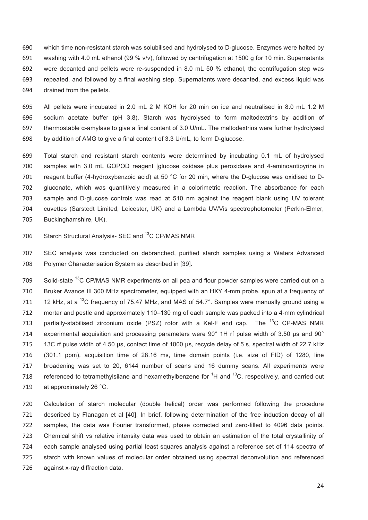690 which time non-resistant starch was solubilised and hydrolysed to D-glucose. Enzymes were halted by 691 washing with 4.0 mL ethanol (99 % v/v), followed by centrifugation at 1500 g for 10 min. Supernatants 692 were decanted and pellets were re-suspended in 8.0 mL 50 % ethanol, the centrifugation step was 693 repeated, and followed by a final washing step. Supernatants were decanted, and excess liquid was 694 drained from the pellets.

695 All pellets were incubated in 2.0 mL 2 M KOH for 20 min on ice and neutralised in 8.0 mL 1.2 M 696 sodium acetate buffer (pH 3.8). Starch was hydrolysed to form maltodextrins by addition of 697 thermostable α-amylase to give a final content of 3.0 U/mL. The maltodextrins were further hydrolysed 698  by addition of AMG to give a final content of 3.3 U/mL, to form D-glucose.

699 Total starch and resistant starch contents were determined by incubating 0.1 mL of hydrolysed samples with 3.0 mL GOPOD reagent [glucose oxidase plus peroxidase and 4-aminoantipyrine in reagent buffer (4-hydroxybenzoic acid) at 50 °C for 20 min, where the D-glucose was oxidised to D- 702 gluconate, which was quantitively measured in a colorimetric reaction. The absorbance for each sample and D-glucose controls was read at 510 nm against the reagent blank using UV tolerant cuvettes (Sarstedt Limited, Leicester, UK) and a Lambda UV/Vis spectrophotometer (Perkin-Elmer, 705 Buckinghamshire, UK).

706 Starch Structural Analysis- SEC and <sup>13</sup>C CP/MAS NMR

 SEC analysis was conducted on debranched, purified starch samples using a Waters Advanced 708 Polymer Characterisation System as described in [39].

709 Solid-state <sup>13</sup>C CP/MAS NMR experiments on all pea and flour powder samples were carried out on a Bruker Avance III 300 MHz spectrometer, equipped with an HXY 4-mm probe, spun at a frequency of 711 12 kHz, at a <sup>13</sup>C frequency of 75.47 MHz, and MAS of 54.7°. Samples were manually ground using a mortar and pestle and approximately 110–130 mg of each sample was packed into a 4-mm cylindrical 713 partially-stabilised zirconium oxide (PSZ) rotor with a Kel-F end cap. The  $^{13}$ C CP-MAS NMR experimental acquisition and processing parameters were 90° 1H rf pulse width of 3.50 µs and 90° 13C rf pulse width of 4.50 µs, contact time of 1000 µs, recycle delay of 5 s, spectral width of 22.7 kHz 716 (301.1 ppm), acquisition time of 28.16 ms, time domain points (i.e. size of FID) of 1280, line broadening was set to 20, 6144 number of scans and 16 dummy scans. All experiments were 718 referenced to tetramethylsilane and hexamethylbenzene for  ${}^{1}H$  and  ${}^{13}C$ , respectively, and carried out 719 at approximately 26 °C.

 Calculation of starch molecular (double helical) order was performed following the procedure described by Flanagan et al [40]. In brief, following determination of the free induction decay of all samples, the data was Fourier transformed, phase corrected and zero-filled to 4096 data points. Chemical shift vs relative intensity data was used to obtain an estimation of the total crystallinity of each sample analysed using partial least squares analysis against a reference set of 114 spectra of starch with known values of molecular order obtained using spectral deconvolution and referenced 726 against x-ray diffraction data.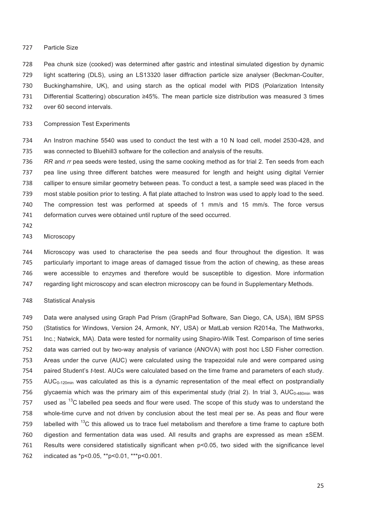### 727 Particle Size

 Pea chunk size (cooked) was determined after gastric and intestinal simulated digestion by dynamic

729 light scattering (DLS), using an LS13320 laser diffraction particle size analyser (Beckman-Coulter, 730 Buckinghamshire, UK), and using starch as the optical model with PIDS (Polarization Intensity

Differential Scattering) obscuration ≥45%. The mean particle size distribution was measured 3 times

732 over 60 second intervals.

# 733 Compression Test Experiments

 An Instron machine 5540 was used to conduct the test with a 10 N load cell, model 2530-428, and was connected to Bluehill3 software for the collection and analysis of the results.

736 *RR* and *rr* pea seeds were tested, using the same cooking method as for trial 2. Ten seeds from each 737 pea line using three different batches were measured for length and height using digital Vernier  calliper to ensure similar geometry between peas. To conduct a test, a sample seed was placed in the most stable position prior to testing. A flat plate attached to Instron was used to apply load to the seed. The compression test was performed at speeds of 1 mm/s and 15 mm/s. The force versus deformation curves were obtained until rupture of the seed occurred.

742

# 743 Microscopy

 Microscopy was used to characterise the pea seeds and flour throughout the digestion. It was particularly important to image areas of damaged tissue from the action of chewing, as these areas 746 were accessible to enzymes and therefore would be susceptible to digestion. More information regarding light microscopy and scan electron microscopy can be found in Supplementary Methods.

# 748 Statistical Analysis

 Data were analysed using Graph Pad Prism (GraphPad Software, San Diego, CA, USA), IBM SPSS (Statistics for Windows, Version 24, Armonk, NY, USA) or MatLab version R2014a, The Mathworks, 751 Inc.; Natwick, MA). Data were tested for normality using Shapiro-Wilk Test. Comparison of time series 752 data was carried out by two-way analysis of variance (ANOVA) with post hoc LSD Fisher correction. Areas under the curve (AUC) were calculated using the trapezoidal rule and were compared using paired Student's *t*-test. AUCs were calculated based on the time frame and parameters of each study.  $755$  AUC<sub>0-120min</sub> was calculated as this is a dynamic representation of the meal effect on postprandially 756 glycaemia which was the primary aim of this experimental study (trial 2). In trial 3,  $AUC_{0.480min}$  was 757 used as <sup>13</sup>C labelled pea seeds and flour were used. The scope of this study was to understand the  whole-time curve and not driven by conclusion about the test meal per se. As peas and flour were 759 labelled with <sup>13</sup>C this allowed us to trace fuel metabolism and therefore a time frame to capture both 760 digestion and fermentation data was used. All results and graphs are expressed as mean ±SEM. 761 Results were considered statistically significant when p<0.05, two sided with the significance level 762 indicated as \*p<0.05, \*\*p<0.01, \*\*\*p<0.001.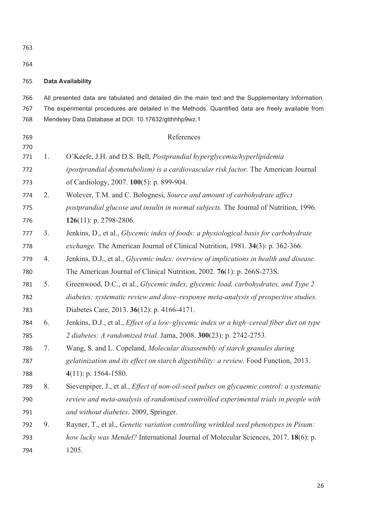763

764

#### 765 **Data Availability**

766 All presented data are tabulated and detailed din the main text and the Supplementary Information. 767 The experimental procedures are detailed in the Methods. Quantified data are freely available from 768  Mendeley Data Database at DOI: 10.17632/gtthhhp9wz.1

| 769        |    | References                                                                                       |
|------------|----|--------------------------------------------------------------------------------------------------|
| 770<br>771 | 1. | O'Keefe, J.H. and D.S. Bell, Postprandial hyperglycemia/hyperlipidemia                           |
| 772        |    | (postprandial dysmetabolism) is a cardiovascular risk factor. The American Journal               |
| 773        |    | of Cardiology, 2007. 100(5): p. 899-904.                                                         |
| 774        | 2. | Wolever, T.M. and C. Bolognesi, Source and amount of carbohydrate affect                         |
| 775        |    | postprandial glucose and insulin in normal subjects. The Journal of Nutrition, 1996.             |
| 776        |    | 126(11): p. 2798-2806.                                                                           |
| 777        | 3. | Jenkins, D., et al., Glycemic index of foods: a physiological basis for carbohydrate             |
| 778        |    | exchange. The American Journal of Clinical Nutrition, 1981. 34(3): p. 362-366.                   |
| 779        | 4. | Jenkins, D.J., et al., Glycemic index: overview of implications in health and disease.           |
| 780        |    | The American Journal of Clinical Nutrition, 2002. 76(1): p. 266S-273S.                           |
| 781        | 5. | Greenwood, D.C., et al., Glycemic index, glycemic load, carbohydrates, and Type 2                |
| 782        |    | diabetes: systematic review and dose-response meta-analysis of prospective studies.              |
| 783        |    | Diabetes Care, 2013. 36(12): p. 4166-4171.                                                       |
| 784        | 6. | Jenkins, D.J., et al., <i>Effect of a low-glycemic index or a high-cereal fiber diet on type</i> |
| 785        |    | 2 diabetes: A randomized trial. Jama, 2008. 300(23): p. 2742-2753.                               |
| 786        | 7. | Wang, S. and L. Copeland, Molecular disassembly of starch granules during                        |
| 787        |    | gelatinization and its effect on starch digestibility: a review. Food Function, 2013.            |
| 788        |    | $4(11)$ : p. 1564-1580.                                                                          |
| 789        | 8. | Sievenpiper, J., et al., Effect of non-oil-seed pulses on glycaemic control: a systematic        |
| 790        |    | review and meta-analysis of randomised controlled experimental trials in people with             |
| 791        |    | and without diabetes. 2009, Springer.                                                            |
| 792        | 9. | Rayner, T., et al., Genetic variation controlling wrinkled seed phenotypes in Pisum:             |
| 793        |    | how lucky was Mendel? International Journal of Molecular Sciences, 2017. 18(6): p.               |
| 794        |    | 1205.                                                                                            |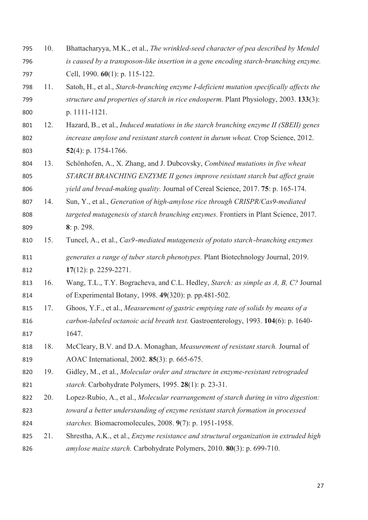- 10. Bhattacharyya, M.K., et al., *The wrinkled-seed character of pea described by Mendel*  796 *is caused by a transposon-like insertion in a gene encoding starch-branching enzyme.* Cell, 1990. **60**(1): p. 115-122.
- 11. Satoh, H., et al., *Starch-branching enzyme I-deficient mutation specifically affects the structure and properties of starch in rice endosperm.* Plant Physiology, 2003. **133**(3):  p. 1111-1121.
- 12. Hazard, B., et al., *Induced mutations in the starch branching enzyme II (SBEII) genes increase amylose and resistant starch content in durum wheat.* Crop Science, 2012. **52**(4): p. 1754-1766.
- 13. Schönhofen, A., X. Zhang, and J. Dubcovsky, *Combined mutations in five wheat STARCH BRANCHING ENZYME II genes improve resistant starch but affect grain*
- 806 *yield and bread-making quality.* Journal of Cereal Science, 2017. **75**: p. 165-174.
- 14. Sun, Y., et al., *Generation of high-amylose rice through CRISPR/Cas9-mediated targeted mutagenesis of starch branching enzymes.* Frontiers in Plant Science, 2017. **8**: p. 298.
- 15. Tuncel, A., et al., *Cas9*‐*mediated mutagenesis of potato starch*‐*branching enzymes*
- *generates a range of tuber starch phenotypes.* Plant Biotechnology Journal, 2019. **17**(12): p. 2259-2271.
- 16. Wang, T.L., T.Y. Bogracheva, and C.L. Hedley, *Starch: as simple as A, B, C?* Journal  of Experimental Botany, 1998. **49**(320): p. pp.481-502.
- 17. Ghoos, Y.F., et al., *Measurement of gastric emptying rate of solids by means of a*  816 *carbon-labeled octanoic acid breath test.* Gastroenterology, 1993. **104**(6): p. 1640- 817 1647.
- 18. McCleary, B.V. and D.A. Monaghan, *Measurement of resistant starch.* Journal of  AOAC International, 2002. **85**(3): p. 665-675.
- 19. Gidley, M., et al., *Molecular order and structure in enzyme-resistant retrograded starch.* Carbohydrate Polymers, 1995. **28**(1): p. 23-31.
- 20. Lopez-Rubio, A., et al., *Molecular rearrangement of starch during in vitro digestion:*
- *toward a better understanding of enzyme resistant starch formation in processed starches.* Biomacromolecules, 2008. **9**(7): p. 1951-1958.
- 21. Shrestha, A.K., et al., *Enzyme resistance and structural organization in extruded high*  826 *amylose maize starch.* Carbohydrate Polymers, 2010. **80**(3): p. 699-710.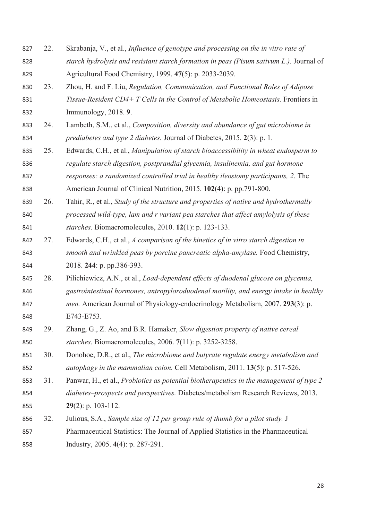- 22. Skrabanja, V., et al., *Influence of genotype and processing on the in vitro rate of starch hydrolysis and resistant starch formation in peas (Pisum sativum L.).* Journal of  Agricultural Food Chemistry, 1999. **47**(5): p. 2033-2039.
- 23. Zhou, H. and F. Liu, *Regulation, Communication, and Functional Roles of Adipose Tissue-Resident CD4+ T Cells in the Control of Metabolic Homeostasis.* Frontiers in  Immunology, 2018. **9**.
- 24. Lambeth, S.M., et al., *Composition, diversity and abundance of gut microbiome in prediabetes and type 2 diabetes.* Journal of Diabetes, 2015. **2**(3): p. 1.
- 25. Edwards, C.H., et al., *Manipulation of starch bioaccessibility in wheat endosperm to*  836 *regulate starch digestion, postprandial glycemia, insulinemia, and gut hormone responses: a randomized controlled trial in healthy ileostomy participants, 2.* The

 American Journal of Clinical Nutrition, 2015. **102**(4): p. pp.791-800.

- 26. Tahir, R., et al., *Study of the structure and properties of native and hydrothermally processed wild-type, lam and r variant pea starches that affect amylolysis of these starches.* Biomacromolecules, 2010. **12**(1): p. 123-133.
- 27. Edwards, C.H., et al., *A comparison of the kinetics of in vitro starch digestion in smooth and wrinkled peas by porcine pancreatic alpha-amylase.* Food Chemistry,  2018. **244**: p. pp.386-393.
- 28. Pilichiewicz, A.N., et al., *Load-dependent effects of duodenal glucose on glycemia,*  846 *gastrointestinal hormones, antropyloroduodenal motility, and energy intake in healthy men.* American Journal of Physiology-endocrinology Metabolism, 2007. **293**(3): p. 848 E743-E753.
- 29. Zhang, G., Z. Ao, and B.R. Hamaker, *Slow digestion property of native cereal starches.* Biomacromolecules, 2006. **7**(11): p. 3252-3258.
- 30. Donohoe, D.R., et al., *The microbiome and butyrate regulate energy metabolism and autophagy in the mammalian colon.* Cell Metabolism, 2011. **13**(5): p. 517-526.
- 31. Panwar, H., et al., *Probiotics as potential biotherapeutics in the management of type 2 diabetes–prospects and perspectives.* Diabetes/metabolism Research Reviews, 2013.
- **29**(2): p. 103-112.
- 856 32. Julious, S.A., *Sample size of 12 per group rule of thumb for a pilot study.* J
- Pharmaceutical Statistics: The Journal of Applied Statistics in the Pharmaceutical   Industry, 2005. **4**(4): p. 287-291.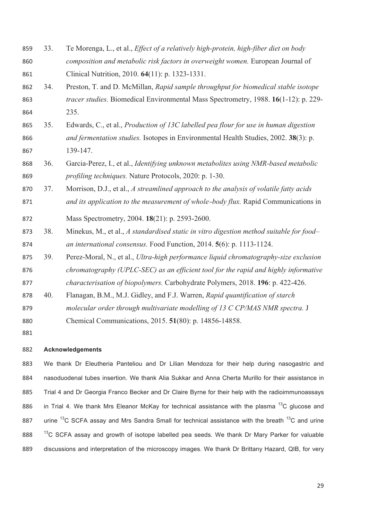33. Te Morenga, L., et al., *Effect of a relatively high-protein, high-fiber diet on body*  860 *composition and metabolic risk factors in overweight women.* European Journal of 861 Clinical Nutrition, 2010. **64**(11): p. 1323-1331. 862 34. Preston, T. and D. McMillan, *Rapid sample throughput for biomedical stable isotope*  863 *tracer studies.* Biomedical Environmental Mass Spectrometry, 1988. **16**(1-12): p. 229- 864 235. 865 35. Edwards, C., et al., *Production of 13C labelled pea flour for use in human digestion*  866 *and fermentation studies.* Isotopes in Environmental Health Studies, 2002. **38**(3): p. 867 139-147. 868  36. Garcia-Perez, I., et al., *Identifying unknown metabolites using NMR-based metabolic*  869 *profiling techniques.* Nature Protocols, 2020: p. 1-30.  37. Morrison, D.J., et al., *A streamlined approach to the analysis of volatile fatty acids and its application to the measurement of whole*‐*body flux.* Rapid Communications in  Mass Spectrometry, 2004. **18**(21): p. 2593-2600.  38. Minekus, M., et al., *A standardised static in vitro digestion method suitable for food– an international consensus.* Food Function, 2014. **5**(6): p. 1113-1124.  39. Perez-Moral, N., et al., *Ultra-high performance liquid chromatography-size exclusion*  876 *chromatography (UPLC-SEC) as an efficient tool for the rapid and highly informative characterisation of biopolymers.* Carbohydrate Polymers, 2018. **196**: p. 422-426.  40. Flanagan, B.M., M.J. Gidley, and F.J. Warren, *Rapid quantification of starch molecular order through multivariate modelling of 13 C CP/MAS NMR spectra.* J  Chemical Communications, 2015. **51**(80): p. 14856-14858. 881

# **Acknowledgements**

883 We thank Dr Eleutheria Panteliou and Dr Lilian Mendoza for their help during nasogastric and  nasoduodenal tubes insertion. We thank Alia Sukkar and Anna Cherta Murillo for their assistance in  Trial 4 and Dr Georgia Franco Becker and Dr Claire Byrne for their help with the radioimmunoassays 886 in Trial 4. We thank Mrs Eleanor McKay for technical assistance with the plasma  $^{13}$ C glucose and 887 urine  $13^{\circ}$ C SCFA assay and Mrs Sandra Small for technical assistance with the breath  $13^{\circ}$ C and urine 888  $<sup>13</sup>C$  SCFA assay and growth of isotope labelled pea seeds. We thank Dr Mary Parker for valuable</sup> 889 discussions and interpretation of the microscopy images. We thank Dr Brittany Hazard, QIB, for very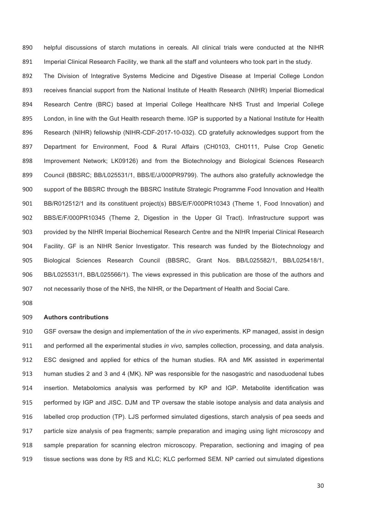helpful discussions of starch mutations in cereals. All clinical trials were conducted at the NIHR  Imperial Clinical Research Facility, we thank all the staff and volunteers who took part in the study.

 The Division of Integrative Systems Medicine and Digestive Disease at Imperial College London  receives financial support from the National Institute of Health Research (NIHR) Imperial Biomedical  Research Centre (BRC) based at Imperial College Healthcare NHS Trust and Imperial College 895 London, in line with the Gut Health research theme. IGP is supported by a National Institute for Health 896 Research (NIHR) fellowship (NIHR-CDF-2017-10-032). CD gratefully acknowledges support from the  Department for Environment, Food & Rural Affairs (CH0103, CH0111, Pulse Crop Genetic 
 Improvement Network; LK09126) and from the Biotechnology and Biological Sciences Research  Council (BBSRC; BB/L025531/1, BBS/E/J/000PR9799). The authors also gratefully acknowledge the support of the BBSRC through the BBSRC Institute Strategic Programme Food Innovation and Health 901 BB/R012512/1 and its constituent project(s) BBS/E/F/000PR10343 (Theme 1, Food Innovation) and BBS/E/F/000PR10345 (Theme 2, Digestion in the Upper GI Tract). Infrastructure support was provided by the NIHR Imperial Biochemical Research Centre and the NIHR Imperial Clinical Research Facility. GF is an NIHR Senior Investigator. This research was funded by the Biotechnology and Biological Sciences Research Council (BBSRC, Grant Nos. BB/L025582/1, BB/L025418/1, 906 BB/L025531/1, BB/L025566/1). The views expressed in this publication are those of the authors and not necessarily those of the NHS, the NIHR, or the Department of Health and Social Care.

908

### **Authors contributions**

 GSF oversaw the design and implementation of the *in vivo* experiments. KP managed, assist in design and performed all the experimental studies *in vivo*, samples collection, processing, and data analysis. ESC designed and applied for ethics of the human studies. RA and MK assisted in experimental human studies 2 and 3 and 4 (MK). NP was responsible for the nasogastric and nasoduodenal tubes insertion. Metabolomics analysis was performed by KP and IGP. Metabolite identification was performed by IGP and JISC. DJM and TP oversaw the stable isotope analysis and data analysis and 916 labelled crop production (TP). LJS performed simulated digestions, starch analysis of pea seeds and particle size analysis of pea fragments; sample preparation and imaging using light microscopy and  sample preparation for scanning electron microscopy. Preparation, sectioning and imaging of pea tissue sections was done by RS and KLC; KLC performed SEM. NP carried out simulated digestions